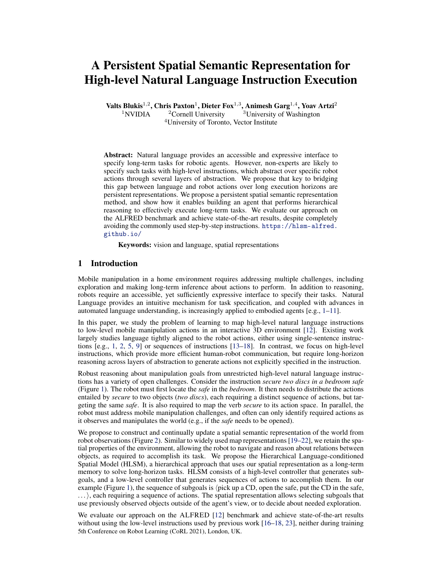# A Persistent Spatial Semantic Representation for High-level Natural Language Instruction Execution

Valts Blukis<sup>1,2</sup>, Chris Paxton<sup>1</sup>, Dieter Fox<sup>1,3</sup>, Animesh Garg<sup>1,4</sup>, Yoav Artzi<sup>2</sup>

<sup>1</sup>NVIDIA <sup>2</sup> Cornell University <sup>3</sup>University of Washington <sup>4</sup>University of Toronto, Vector Institute

Abstract: Natural language provides an accessible and expressive interface to specify long-term tasks for robotic agents. However, non-experts are likely to specify such tasks with high-level instructions, which abstract over specific robot actions through several layers of abstraction. We propose that key to bridging this gap between language and robot actions over long execution horizons are persistent representations. We propose a persistent spatial semantic representation method, and show how it enables building an agent that performs hierarchical reasoning to effectively execute long-term tasks. We evaluate our approach on the ALFRED benchmark and achieve state-of-the-art results, despite completely avoiding the commonly used step-by-step instructions. [https://hlsm-alfred.](https://hlsm-alfred.github.io/) [github.io/](https://hlsm-alfred.github.io/)

Keywords: vision and language, spatial representations

## 1 Introduction

Mobile manipulation in a home environment requires addressing multiple challenges, including exploration and making long-term inference about actions to perform. In addition to reasoning, robots require an accessible, yet sufficiently expressive interface to specify their tasks. Natural Language provides an intuitive mechanism for task specification, and coupled with advances in automated language understanding, is increasingly applied to embodied agents [e.g., [1–11\]](#page-8-0).

In this paper, we study the problem of learning to map high-level natural language instructions to low-level mobile manipulation actions in an interactive 3D environment [\[12\]](#page-8-0). Existing work largely studies language tightly aligned to the robot actions, either using single-sentence instructions [e.g., [1,](#page-8-0) [2,](#page-8-0) [5,](#page-8-0) [9\]](#page-8-0) or sequences of instructions [\[13](#page-8-0)[–18\]](#page-9-0). In contrast, we focus on high-level instructions, which provide more efficient human-robot communication, but require long-horizon reasoning across layers of abstraction to generate actions not explicitly specified in the instruction.

Robust reasoning about manipulation goals from unrestricted high-level natural language instructions has a variety of open challenges. Consider the instruction *secure two discs in a bedroom safe* (Figure [1\)](#page-1-0). The robot must first locate the *safe* in the *bedroom*. It then needs to distribute the actions entailed by *secure* to two objects (*two discs*), each requiring a distinct sequence of actions, but targeting the same *safe*. It is also required to map the verb *secure* to its action space. In parallel, the robot must address mobile manipulation challenges, and often can only identify required actions as it observes and manipulates the world (e.g., if the *safe* needs to be opened).

We propose to construct and continually update a spatial semantic representation of the world from robot observations (Figure [2\)](#page-2-0). Similar to widely used map representations [\[19–22\]](#page-9-0), we retain the spatial properties of the environment, allowing the robot to navigate and reason about relations between objects, as required to accomplish its task. We propose the Hierarchical Language-conditioned Spatial Model (HLSM), a hierarchical approach that uses our spatial representation as a long-term memory to solve long-horizon tasks. HLSM consists of a high-level controller that generates subgoals, and a low-level controller that generates sequences of actions to accomplish them. In our example (Figure [1\)](#page-1-0), the sequence of subgoals is  $\langle$  pick up a CD, open the safe, put the CD in the safe,  $\ldots$ , each requiring a sequence of actions. The spatial representation allows selecting subgoals that use previously observed objects outside of the agent's view, or to decide about needed exploration.

We evaluate our approach on the ALFRED [\[12\]](#page-8-0) benchmark and achieve state-of-the-art results without using the low-level instructions used by previous work [\[16](#page-8-0)[–18,](#page-9-0) [23\]](#page-9-0), neither during training 5th Conference on Robot Learning (CoRL 2021), London, UK.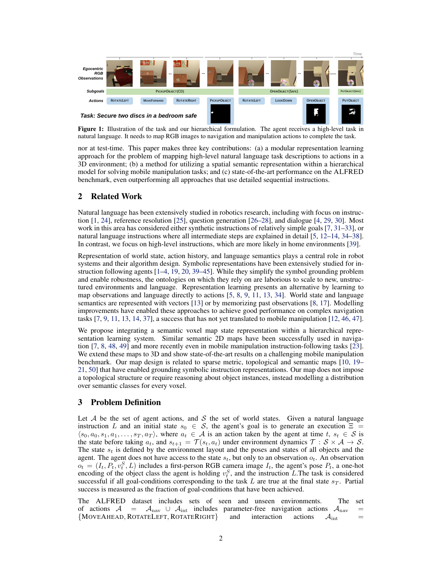<span id="page-1-0"></span>

Figure 1: Illustration of the task and our hierarchical formulation. The agent receives a high-level task in natural language. It needs to map RGB images to navigation and manipulation actions to complete the task.

nor at test-time. This paper makes three key contributions: (a) a modular representation learning approach for the problem of mapping high-level natural language task descriptions to actions in a 3D environment; (b) a method for utilizing a spatial semantic representation within a hierarchical model for solving mobile manipulation tasks; and (c) state-of-the-art performance on the ALFRED benchmark, even outperforming all approaches that use detailed sequential instructions.

## 2 Related Work

Natural language has been extensively studied in robotics research, including with focus on instruction [\[1,](#page-8-0) [24\]](#page-9-0), reference resolution [\[25\]](#page-9-0), question generation [\[26–28\]](#page-9-0), and dialogue [\[4,](#page-8-0) [29,](#page-9-0) [30\]](#page-9-0). Most work in this area has considered either synthetic instructions of relatively simple goals [\[7,](#page-8-0) [31–33\]](#page-9-0), or natural language instructions where all intermediate steps are explained in detail [\[5,](#page-8-0) [12–14,](#page-8-0) [34](#page-9-0)[–38\]](#page-10-0). In contrast, we focus on high-level instructions, which are more likely in home environments [\[39\]](#page-10-0).

Representation of world state, action history, and language semantics plays a central role in robot systems and their algorithm design. Symbolic representations have been extensively studied for instruction following agents [\[1–4,](#page-8-0) [19,](#page-9-0) [20,](#page-9-0) [39–45\]](#page-10-0). While they simplify the symbol grounding problem and enable robustness, the ontologies on which they rely on are laborious to scale to new, unstructured environments and language. Representation learning presents an alternative by learning to map observations and language directly to actions [\[5,](#page-8-0) [8,](#page-8-0) [9,](#page-8-0) [11,](#page-8-0) [13,](#page-8-0) [34\]](#page-9-0). World state and language semantics are represented with vectors [\[13\]](#page-8-0) or by memorizing past observations [\[8,](#page-8-0) [17\]](#page-9-0). Modelling improvements have enabled these approaches to achieve good performance on complex navigation tasks [\[7,](#page-8-0) [9,](#page-8-0) [11,](#page-8-0) [13,](#page-8-0) [14,](#page-8-0) [37\]](#page-9-0), a success that has not yet translated to mobile manipulation [\[12,](#page-8-0) [46,](#page-10-0) [47\]](#page-10-0).

We propose integrating a semantic voxel map state representation within a hierarchical representation learning system. Similar semantic 2D maps have been successfully used in navigation [\[7,](#page-8-0) [8,](#page-8-0) [48,](#page-10-0) [49\]](#page-10-0) and more recently even in mobile manipulation instruction-following tasks [\[23\]](#page-9-0). We extend these maps to 3D and show state-of-the-art results on a challenging mobile manipulation benchmark. Our map design is related to sparse metric, topological and semantic maps [\[10,](#page-8-0) [19–](#page-9-0) [21,](#page-9-0) [50\]](#page-10-0) that have enabled grounding symbolic instruction representations. Our map does not impose a topological structure or require reasoning about object instances, instead modelling a distribution over semantic classes for every voxel.

#### 3 Problem Definition

Let  $A$  be the set of agent actions, and  $S$  the set of world states. Given a natural language instruction L and an initial state  $s_0 \in S$ , the agent's goal is to generate an execution  $\Xi$  =  $\langle s_0, a_0, s_1, a_1, \ldots, s_T, a_T \rangle$ , where  $a_t \in A$  is an action taken by the agent at time t,  $s_t \in S$  is the state before taking  $a_t$ , and  $s_{t+1} = \mathcal{T}(s_t, a_t)$  under environment dynamics  $\mathcal{T}: \mathcal{S} \times \mathcal{A} \to \mathcal{S}$ . The state  $s_t$  is defined by the environment layout and the poses and states of all objects and the agent. The agent does not have access to the state  $s_t$ , but only to an observation  $o_t$ . An observation  $o_t = (I_t, P_t, v_t^S, L)$  includes a first-person RGB camera image  $I_t$ , the agent's pose  $P_t$ , a one-hot encoding of the object class the agent is holding  $v_t^S$ , and the instruction L.The task is considered successful if all goal-conditions corresponding to the task L are true at the final state  $s_T$ . Partial success is measured as the fraction of goal-conditions that have been achieved.

The ALFRED dataset includes sets of seen and unseen environments. The set of actions  $A = A_{\text{nav}} \cup A_{\text{int}}$  includes parameter-free navigation actions  $A_{\text{nav}} =$  ${MoverAHEAD, ROTATELEFT, ROTATERIGHT}$  and interaction actions  $A_{int}$  =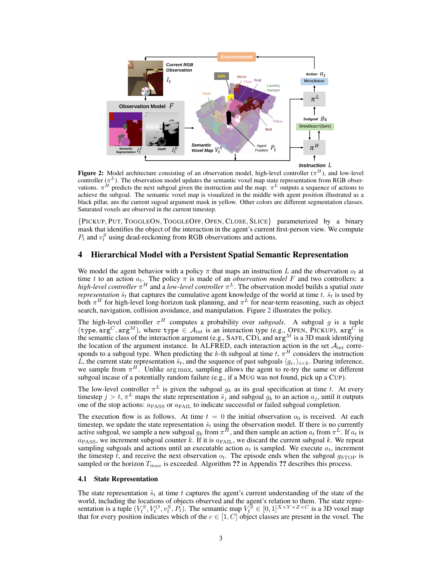<span id="page-2-0"></span>

**Figure 2:** Model architecture consisting of an observation model, high-level controller  $(\pi^H)$ , and low-level controller ( $\pi^L$ ). The observation model updates the semantic voxel map state representation from RGB observations.  $\pi^{H}$  predicts the next subgoal given the instruction and the map.  $\pi^{L}$  outputs a sequence of actions to achieve the subgoal. The semantic voxel map is visualized in the middle with agent position illustrated as a black pillar, ans the current sugoal argument mask in yellow. Other colors are different segmentation classes. Saturated voxels are observed in the current timestep.

{PICKUP, PUT, TOGGLEON, TOGGLEOFF, OPEN, CLOSE, SLICE} parameterized by a binary mask that identifies the object of the interaction in the agent's current first-person view. We compute  $P_t$  and  $v_t^S$  using dead-reckoning from RGB observations and actions.

#### 4 Hierarchical Model with a Persistent Spatial Semantic Representation

We model the agent behavior with a policy  $\pi$  that maps an instruction L and the observation  $o_t$  at time t to an action  $a_t$ . The policy  $\pi$  is made of an *observation model* F and two controllers: a *high-level controller* π <sup>H</sup> and a *low-level controller* π <sup>L</sup>. The observation model builds a spatial *state representation*  $\hat{s}_t$  that captures the cumulative agent knowledge of the world at time t.  $\hat{s}_t$  is used by both  $\pi^H$  for high-level long-horizon task planning, and  $\pi^L$  for near-term reasoning, such as object search, navigation, collision avoidance, and manipulation. Figure 2 illustrates the policy.

The high-level controller  $\pi^H$  computes a probability over *subgoals*. A subgoal g is a tuple (type,  $\arg^{C}$ ,  $\arg^{M}$ ), where type  $\in \mathcal{A}_{int}$  is an interaction type (e.g., OPEN, PICKUP),  $\arg^{C}$  is the semantic class of the interaction argument (e.g., SAFE, CD), and  $\arg^M$  is a 3D mask identifying the location of the argument instance. In ALFRED, each interaction action in the set  $A_{int}$  corresponds to a subgoal type. When predicting the k-th subgoal at time  $t, \pi^H$  considers the instruction L, the current state representation  $\hat{s}_t$ , and the sequence of past subgoals  $\langle g_i \rangle_{i \leq k}$ . During inference, we sample from  $\pi^H$ . Unlike arg max, sampling allows the agent to re-try the same or different subgoal incase of a potentially random failure (e.g., if a MUG was not found, pick up a CUP).

The low-level controller  $\pi^L$  is given the subgoal  $g_k$  as its goal specification at time t. At every timestep  $j > t$ ,  $\pi^L$  maps the state representation  $\hat{s}_j$  and subgoal  $g_k$  to an action  $a_j$ , until it outputs one of the stop actions:  $a_{\text{PASS}}$  or  $a_{\text{FAIL}}$  to indicate successful or failed subgoal completion.

The execution flow is as follows. At time  $t = 0$  the initial observation  $o_0$  is received. At each timestep, we update the state representation  $\hat{s}_t$  using the observation model. If there is no currently active subgoal, we sample a new subgoal  $g_k$  from  $\pi^H$ , and then sample an action  $a_t$  from  $\pi^L$ . If  $a_t$  is  $a_{\text{PASS}}$ , we increment subgoal counter k. If it is  $a_{\text{FAIL}}$ , we discard the current subgoal k. We repeat sampling subgoals and actions until an executable action  $a_t$  is sampled. We execute  $a_t$ , increment the timestep t, and receive the next observation  $o_t$ . The episode ends when the subgoal  $g_{\text{STOP}}$  is sampled or the horizon  $T_{max}$  is exceeded. Algorithm ?? in Appendix ?? describes this process.

#### 4.1 State Representation

The state representation  $\hat{s}_t$  at time t captures the agent's current understanding of the state of the world, including the locations of objects observed and the agent's relation to them. The state representation is a tuple  $(V_t^S, V_t^O, v_t^S, P_t)$ . The semantic map  $V_t^S \in [0, 1]^{X \times Y \times Z \times C}$  is a 3D voxel map that for every position indicates which of the  $c \in [1, C]$  object classes are present in the voxel. The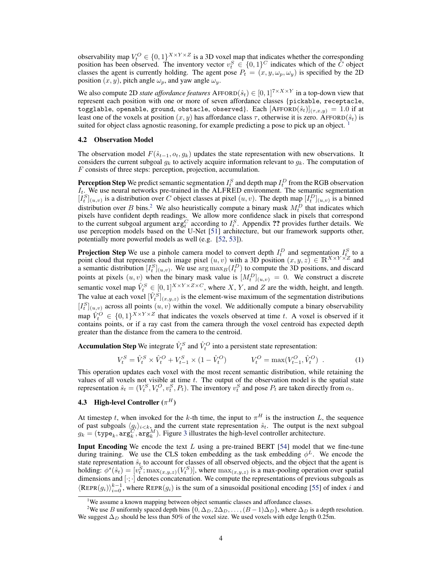<span id="page-3-0"></span>observability map  $V_t^O \in \{0,1\}^{X \times Y \times Z}$  is a 3D voxel map that indicates whether the corresponding position has been observed. The inventory vector  $v_t^S \in \{0,1\}^C$  indicates which of the  $\tilde{C}$  object classes the agent is currently holding. The agent pose  $P_t = (x, y, \omega_p, \omega_y)$  is specified by the 2D position  $(x, y)$ , pitch angle  $\omega_p$ , and yaw angle  $\omega_y$ .

We also compute 2D *state affordance features*  $\text{AFFORD}(\hat{s}_t) \in [0,1]^{7 \times X \times Y}$  in a top-down view that represent each position with one or more of seven affordance classes {pickable, receptacle, togglable, openable, ground, obstacle, observed}. Each  $[{\rm AFFORD}(\hat{s}_t)]_{(\tau,x,y)} = 1.0$  if at least one of the voxels at position  $(x, y)$  has affordance class  $\tau$ , otherwise it is zero. AFFORD( $\hat{s}_t$ ) is suited for object class agnostic reasoning, for example predicting a pose to pick up an object. <sup>1</sup>

#### 4.2 Observation Model

The observation model  $F(\hat{s}_{t-1}, o_t, g_k)$  updates the state representation with new observations. It considers the current subgoal  $g_k$  to actively acquire information relevant to  $g_k$ . The computation of F consists of three steps: perception, projection, accumulation.

**Perception Step** We predict semantic segmentation  $I_t^S$  and depth map  $I_t^D$  from the RGB observation  $I_t$ . We use neural networks pre-trained in the ALFRED environment. The semantic segmentation  $[I_t^S]_{(u,v)}$  is a distribution over C object classes at pixel  $(u, v)$ . The depth map  $[I_t^D]_{(u,v)}$  is a binned distribution over B bins.<sup>2</sup> We also heuristically compute a binary mask  $M_t^D$  that indicates which pixels have confident depth readings. We allow more confidence slack in pixels that correspond to the current subgoal argument  $\arg_c^C$  according to  $I_t^S$ . Appendix ?? provides further details. We use perception models based on the U-Net [\[51\]](#page-10-0) architecture, but our framework supports other, potentially more powerful models as well (e.g. [\[52,](#page-10-0) [53\]](#page-10-0)).

**Projection Step** We use a pinhole camera model to convert depth  $I_t^D$  and segmentation  $I_{t_c}^S$  to a point cloud that represents each image pixel  $(u, v)$  with a 3D position  $(x, y, z) \in \mathbb{R}^{X \times Y \times Z}$  and a semantic distribution  $[I_t^S]_{(u,v)}$ . We use  $\arg \max_B(I_t^D)$  to compute the 3D positions, and discard points at pixels  $(u, v)$  when the binary mask value is  $[M_t^D]_{(u,v)} = 0$ . We construct a discrete semantic voxel map  $\hat{V}_t^S \in [0,1]^{X \times Y \times Z \times C}$ , where X, Y, and Z are the width, height, and length. The value at each voxel  $[\hat{V}_t^S]_{(x,y,z)}$  is the element-wise maximum of the segmentation distributions  $[I_t^S]_{(u,v)}$  across all points  $(u, v)$  within the voxel. We additionally compute a binary observability map  $\hat{V}_t^O \in \{0,1\}^{X \times Y \times Z}$  that indicates the voxels observed at time t. A voxel is observed if it contains points, or if a ray cast from the camera through the voxel centroid has expected depth greater than the distance from the camera to the centroid.

**Accumulation Step** We integrate  $\hat{V}_t^S$  and  $\hat{V}_t^O$  into a persistent state representation:

$$
V_t^S = \hat{V}_t^S \times \hat{V}_t^O + V_{t-1}^S \times (1 - \hat{V}_t^O) \qquad V_t^O = \max(V_{t-1}^O, \hat{V}_t^O) \tag{1}
$$

This operation updates each voxel with the most recent semantic distribution, while retaining the values of all voxels not visible at time  $t$ . The output of the observation model is the spatial state representation  $\hat{s}_t = (V_t^S, V_t^O, v_t^S, P_t)$ . The inventory  $v_t^S$  and pose  $P_t$  are taken directly from  $o_t$ .

#### **4.3** High-level Controller  $(\pi^H)$

At timestep t, when invoked for the k-th time, the input to  $\pi^H$  is the instruction L, the sequence of past subgoals  $\langle g_i \rangle_{i \leq k}$ , and the current state representation  $\hat{s}_t$ . The output is the next subgoal  $g_k = (\text{type}_k, \text{arg}_k^C, \text{arg}_k^M)$ . Figure [3](#page-4-0) illustrates the high-level controller architecture.

**Input Encoding** We encode the text  $L$  using a pre-trained BERT [\[54\]](#page-10-0) model that we fine-tune during training. We use the CLS token embedding as the task embedding  $\phi^L$ . We encode the state representation  $\hat{s}_t$  to account for classes of all observed objects, and the object that the agent is holding:  $\phi^s(\hat{s}_t) = [v_t^S; \max_{(x,y,z)} (V_t^S)]$ , where  $\max_{(x,y,z)}$  is a max-pooling operation over spatial dimensions and [ $\cdot$ ;  $\cdot$ ] denotes concatenation. We compute the representations of previous subgoals as  $\langle \text{REPR}(g_i) \rangle_{i=0}^{k-1}$ , where  $\text{REPR}(g_i)$  is the sum of a sinusoidal positional encoding [\[55\]](#page-10-0) of index i and

<sup>&</sup>lt;sup>1</sup>We assume a known mapping between object semantic classes and affordance classes.

<sup>&</sup>lt;sup>2</sup>We use B uniformly spaced depth bins  $\{0, \Delta_D, 2\Delta_D, \ldots, (B-1)\Delta_D\}$ , where  $\Delta_D$  is a depth resolution. We suggest  $\Delta_D$  should be less than 50% of the voxel size. We used voxels with edge length 0.25m.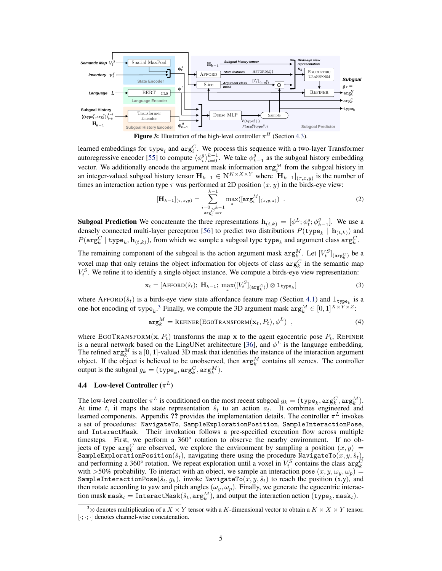<span id="page-4-0"></span>



learned embeddings for type<sub>i</sub> and  $arg_i^C$ . We process this sequence with a two-layer Transformer autoregressive encoder [\[55\]](#page-10-0) to compute  $\langle \phi_i^g \rangle_{i=0}^{k-1}$ . We take  $\phi_{k-1}^g$  as the subgoal history embedding vector. We additionally encode the argument mask information  $\arg_{i}^{M}$  from the subgoal history in an integer-valued subgoal history tensor  $\mathbf{H}_{k-1} \in \mathbb{N}^{K \times X \times Y}$  where  $[\mathbf{H}_{k-1}]_{(\tau,x,y)}$  is the number of times an interaction action type  $\tau$  was performed at 2D position  $(x, y)$  in the birds-eye view:

$$
[\mathbf{H}_{k-1}]_{(\tau,x,y)} = \sum_{\substack{i=0...k-1\\ \arg_i^C = \tau}}^{k-1} \max_z([\arg_i^M]_{(x,y,z)}) \quad . \tag{2}
$$

**Subgoal Prediction** We concatenate the three representations  $\mathbf{h}_{(t,k)} = [\phi^L; \phi^s_t; \phi^g_{k-1}]$ . We use a densely connected multi-layer perceptron [\[56\]](#page-10-0) to predict two distributions  $P(\text{type}_k | \mathbf{h}_{(t,k)})$  and  $P(\texttt{arg}^C_k \mid \texttt{type}_k, \textbf{h}_{(t,k)}),$  from which we sample a subgoal type  $\texttt{type}_k$  and argument class  $\texttt{arg}^C_k.$ 

The remaining component of the subgoal is the action argument mask  $\arg_k^M$ . Let  $[V_t^S]_{(\arg_k^C)}$  be a voxel map that only retains the object information for objects of class  $arg_k^C$  in the semantic map  $V_t^S$ . We refine it to identify a single object instance. We compute a birds-eye view representation:

$$
\mathbf{x}_t = [\text{AFFORD}(\hat{s}_t); \ \mathbf{H}_{k-1}; \ \max_{z}([V_t^S]_{(\text{arg}_k^C)}) \otimes \mathbb{1}_{\text{type}_k}] \tag{3}
$$

where AFFORD $(\hat{s}_t)$  is a birds-eye view state affordance feature map (Section [4.1\)](#page-2-0) and  $\mathbb{1}_{\text{type}_k}$  is a one-hot encoding of type<sub>k</sub>.<sup>3</sup> Finally, we compute the 3D argument mask  $\arg_k^M \in [0, 1]^{X \times Y \times Z}$ :

$$
\arg_k^M = \text{REFINER}(\text{EGOTRANSFORM}(\mathbf{x}_t, P_t), \phi^L) \tag{4}
$$

where EGOTRANSFORM( $x, P_t$ ) transforms the map x to the agent egocentric pose  $P_t$ , REFINER is a neural network based on the LingUNet architecture [\[36\]](#page-9-0), and  $\phi^L$  is the language embedding. The refined  $\arg_k^M$  is a [0, 1]-valued 3D mask that identifies the instance of the interaction argument object. If the object is believed to be unobserved, then  $\arg_k^M$  contains all zeroes. The controller output is the subgoal  $g_k = (\texttt{type}_k, \texttt{arg}^C_k, \texttt{arg}^M_k).$ 

#### **4.4** Low-level Controller  $(\pi^L)$

The low-level controller  $\pi^L$  is conditioned on the most recent subgoal  $g_k = (\texttt{type}_k, \texttt{arg}_k^C, \texttt{arg}_k^M)$ . At time t, it maps the state representation  $\hat{s}_t$  to an action  $a_t$ . It combines engineered and learned components. Appendix ?? provides the implementation details. The controller  $\pi^L$  invokes a set of procedures: NavigateTo, SampleExplorationPosition, SampleInteractionPose, and InteractMask. Their invokation follows a pre-specified execution flow across multiple timesteps. First, we perform a 360° rotation to observe the nearby environment. If no objects of type  $arg_k^C$  are observed, we explore the environment by sampling a position  $(x, y)$  = SampleExplorationPosition( $\hat{s}_t$ ), navigating there using the procedure NavigateTo( $x, y, \hat{s}_t$ ), and performing a 360° rotation. We repeat exploration until a voxel in  $V_t^S$  contains the class  $\arg_k^C$ with >50% probability. To interact with an object, we sample an interaction pose  $(x, y, \omega_y, \omega_p)$  = SampleInteractionPose( $\hat{s}_t, g_k$ ), invoke NavigateTo( $x, y, \hat{s}_t$ ) to reach the position (x,y), and then rotate according to yaw and pitch angles  $(\omega_y, \omega_p)$ . Finally, we generate the egocentric interaction mask  $\mathtt{mask}_t = \mathtt{InteractMask}(\hat{s}_t, \mathtt{arg}^M_k),$  and output the interaction action  $(\mathtt{type}_k, \mathtt{mask}_t).$ 

<sup>&</sup>lt;sup>3</sup>⊗ denotes multiplication of a  $X \times Y$  tensor with a K-dimensional vector to obtain a  $K \times X \times Y$  tensor. [·; ·; ·] denotes channel-wise concatenation.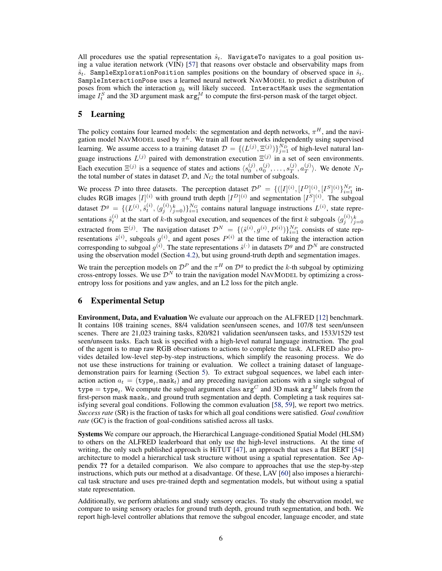All procedures use the spatial representation  $\hat{s}_t$ . NavigateTo navigates to a goal position using a value iteration network (VIN) [\[57\]](#page-10-0) that reasons over obstacle and observability maps from  $\hat{s}_t$ . SampleExplorationPosition samples positions on the boundary of observed space in  $\hat{s}_t$ . SampleInteractionPose uses a learned neural network NAVMODEL to predict a distributon of poses from which the interaction  $g_k$  will likely succeed. InteractMask uses the segmentation image  $I_t^S$  and the 3D argument mask  $\arg_t^M$  to compute the first-person mask of the target object.

#### 5 Learning

The policy contains four learned models: the segmentation and depth networks,  $\pi^H$ , and the navigation model NAVMODEL used by  $\pi^L$ . We train all four networks independently using supervised learning. We assume access to a training dataset  $\mathcal{D} = \{(L^{(j)}, \Xi^{(j)})\}_{j=1}^{N_D}$  of high-level natural language instructions  $L^{(j)}$  paired with demonstration execution  $\Xi^{(j)}$  in a set of seen environments. Each execution  $\Xi^{(j)}$  is a sequence of states and actions  $\langle s_0^{(j)}, a_0^{(j)}, \ldots, s_T^{(j)} \rangle$  $_T^{(j)}, a_T^{(j)}$  $\langle T \rangle$ . We denote  $N_F$ the total number of states in dataset  $D$ , and  $N<sub>G</sub>$  the total number of subgoals.

We process D into three datasets. The perception dataset  $\mathcal{D}^P = \{([I]^{(i)}, [I^D]^{(i)}, [I^S]^{(i)}\}_{i=1}^{N_P}$  includes RGB images  $[I]^{(i)}$  with ground truth depth  $[I^D]^{(i)}$  and segmentation  $[I^S]^{(i)}$ . The subgoal dataset  $\mathcal{D}^g = \{ (L^{(i)}, \hat{s}_t^{(i)}, \langle g_j^{(i)} \rangle_{j=0}^k) \}_{i=1}^{N_G}$  contains natural language instructions  $L^{(i)}$ , state representations  $\hat{s}_t^{(i)}$  at the start of k-th subgoal execution, and sequences of the first k subgoals  $\langle g_j^{(i)} \rangle_{j=0}^k$ extracted from  $\Xi^{(j)}$ . The navigation dataset  $\mathcal{D}^N = \{(\hat{s}^{(i)}, g^{(i)}, P^{(i)})\}_{i=1}^{N_P}$  consists of state representations  $\hat{s}^{(i)}$ , subgoals  $g^{(i)}$ , and agent poses  $P^{(i)}$  at the time of taking the interaction action corresponding to subgoal  $g^{(i)}$ . The state representations  $\hat{s}^{(\cdot)}$  in datasets  $\mathcal{D}^g$  and  $\mathcal{D}^N$  are constructed using the observation model (Section [4.2\)](#page-3-0), but using ground-truth depth and segmentation images.

We train the perception models on  $\mathcal{D}^P$  and the  $\pi^H$  on  $\mathcal{D}^g$  to predict the k-th subgoal by optimizing cross-entropy losses. We use  $\mathcal{D}^N$  to train the navigation model NAVMODEL by optimizing a crossentropy loss for positions and yaw angles, and an L2 loss for the pitch angle.

#### 6 Experimental Setup

Environment, Data, and Evaluation We evaluate our approach on the ALFRED [\[12\]](#page-8-0) benchmark. It contains 108 training scenes, 88/4 validation seen/unseen scenes, and 107/8 test seen/unseen scenes. There are 21,023 training tasks, 820/821 validation seen/unseen tasks, and 1533/1529 test seen/unseen tasks. Each task is specified with a high-level natural language instruction. The goal of the agent is to map raw RGB observations to actions to complete the task. ALFRED also provides detailed low-level step-by-step instructions, which simplify the reasoning process. We do not use these instructions for training or evaluation. We collect a training dataset of languagedemonstration pairs for learning (Section 5). To extract subgoal sequences, we label each interaction action  $a_t = (\text{type}_t, \text{mask}_t)$  and any preceding navigation actions with a single subgoal of  $\tt type = type_t.$  We compute the subgoal argument class  $\texttt{arg}^C$  and 3D mask  $\texttt{arg}^M$  labels from the first-person mask mask<sub>t</sub>, and ground truth segmentation and depth. Completing a task requires satisfying several goal conditions. Following the common evaluation [\[58,](#page-10-0) [59\]](#page-10-0), we report two metrics. *Success rate* (SR) is the fraction of tasks for which all goal conditions were satisfied. *Goal condition rate* (GC) is the fraction of goal-conditions satisfied across all tasks.

Systems We compare our approach, the Hierarchical Language-conditioned Spatial Model (HLSM) to others on the ALFRED leaderboard that only use the high-level instructions. At the time of writing, the only such published approach is HiTUT [\[47\]](#page-10-0), an approach that uses a flat BERT [\[54\]](#page-10-0) architecture to model a hierarchical task structure without using a spatial representation. See Appendix ?? for a detailed comparison. We also compare to approaches that use the step-by-step instructions, which puts our method at a disadvantage. Of these, LAV [\[60\]](#page-11-0) also imposes a hierarchical task structure and uses pre-trained depth and segmentation models, but without using a spatial state representation.

Additionally, we perform ablations and study sensory oracles. To study the observation model, we compare to using sensory oracles for ground truth depth, ground truth segmentation, and both. We report high-level controller ablations that remove the subgoal encoder, language encoder, and state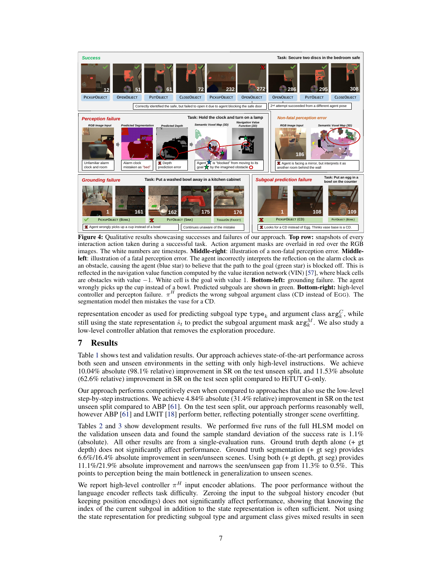<span id="page-6-0"></span>

Figure 4: Qualitative results showcasing successes and failures of our approach. Top row: snapshots of every interaction action taken during a successful task. Action argument masks are overlaid in red over the RGB images. The white numbers are timesteps. Middle-right: illustration of a non-fatal perception error. Middleleft: illustration of a fatal perception error. The agent incorrectly interprets the reflection on the alarm clock as an obstacle, causing the agent (blue star) to believe that the path to the goal (green star) is blocked off. This is reflected in the navigation value function computed by the value iteration network (VIN) [\[57\]](#page-10-0), where black cells are obstacles with value −1. White cell is the goal with value 1. Bottom-left: grounding failure. The agent wrongly picks up the cup instead of a bowl. Predicted subgoals are shown in green. **Bottom-right:** high-level controller and percepton failure.  $\pi^H$  predicts the wrong subgoal argument class (CD instead of EGG). The segmentation model then mistakes the vase for a CD.

representation encoder as used for predicting subgoal type  ${type}_k$  and argument class  $\arg_k^C$ , while still using the state representation  $\hat{s}_t$  to predict the subgoal argument mask  $\arg_k^M$ . We also study a low-level controller ablation that removes the exploration procedure.

# 7 Results

Table [1](#page-7-0) shows test and validation results. Our approach achieves state-of-the-art performance across both seen and unseen environments in the setting with only high-level instructions. We achieve 10.04% absolute (98.1% relative) improvement in SR on the test unseen split, and 11.53% absolute (62.6% relative) improvement in SR on the test seen split compared to HiTUT G-only.

Our approach performs competitively even when compared to approaches that also use the low-level step-by-step instructions. We achieve 4.84% absolute (31.4% relative) improvement in SR on the test unseen split compared to ABP [\[61\]](#page-11-0). On the test seen split, our approach performs reasonably well, however ABP [\[61\]](#page-11-0) and LWIT [\[18\]](#page-9-0) perform better, reflecting potentially stronger scene overfitting.

Tables [2](#page-7-0) and [3](#page-7-0) show development results. We performed five runs of the full HLSM model on the validation unseen data and found the sample standard deviation of the success rate is 1.1% (absolute). All other results are from a single-evaluation runs. Ground truth depth alone (+ gt depth) does not significantly affect performance. Ground truth segmentation (+ gt seg) provides 6.6%/16.4% absolute improvement in seen/unseen scenes. Using both (+ gt depth, gt seg) provides 11.1%/21.9% absolute improvement and narrows the seen/unseen gap from 11.3% to 0.5%. This points to perception being the main bottleneck in generalization to unseen scenes.

We report high-level controller  $\pi^H$  input encoder ablations. The poor performance without the language encoder reflects task difficulty. Zeroing the input to the subgoal history encoder (but keeping position encodings) does not significantly affect performance, showing that knowing the index of the current subgoal in addition to the state representation is often sufficient. Not using the state representation for predicting subgoal type and argument class gives mixed results in seen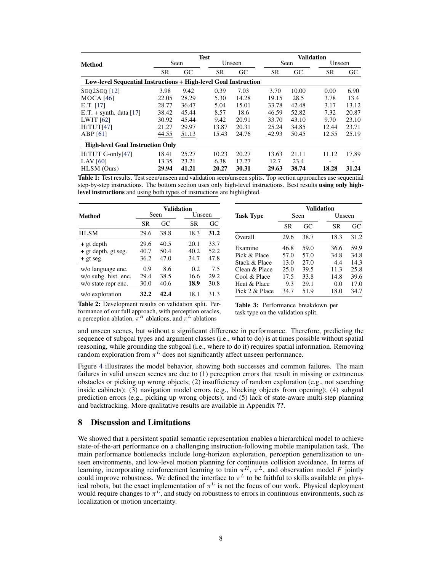<span id="page-7-0"></span>

|                                                                 |       | <b>Test</b> |           |        |  | <b>Validation</b> |       |           |        |  |
|-----------------------------------------------------------------|-------|-------------|-----------|--------|--|-------------------|-------|-----------|--------|--|
| <b>Method</b>                                                   |       | Seen        |           | Unseen |  | Seen              |       |           | Unseen |  |
|                                                                 | SR    | GC          | <b>SR</b> | GC     |  | <b>SR</b>         | GC    | <b>SR</b> | GC     |  |
| Low-level Sequential Instructions + High-level Goal Instruction |       |             |           |        |  |                   |       |           |        |  |
| <b>SEO2SEO</b> [12]                                             | 3.98  | 9.42        | 0.39      | 7.03   |  | 3.70              | 10.00 | 0.00      | 6.90   |  |
| MOCA $[46]$                                                     | 22.05 | 28.29       | 5.30      | 14.28  |  | 19.15             | 28.5  | 3.78      | 13.4   |  |
| E.T. [17]                                                       | 28.77 | 36.47       | 5.04      | 15.01  |  | 33.78             | 42.48 | 3.17      | 13.12  |  |
| E.T. $+$ synth. data [17]                                       | 38.42 | 45.44       | 8.57      | 18.6   |  | 46.59             | 52.82 | 7.32      | 20.87  |  |
| LWIT $[62]$                                                     | 30.92 | 45.44       | 9.42      | 20.91  |  | 33.70             | 43.10 | 9.70      | 23.10  |  |
| HITUT[47]                                                       | 21.27 | 29.97       | 13.87     | 20.31  |  | 25.24             | 34.85 | 12.44     | 23.71  |  |
| ABP[61]                                                         | 44.55 | 51.13       | 15.43     | 24.76  |  | 42.93             | 50.45 | 12.55     | 25.19  |  |
| <b>High-level Goal Instruction Only</b>                         |       |             |           |        |  |                   |       |           |        |  |
| HITUT G-only[47]                                                | 18.41 | 25.27       | 10.23     | 20.27  |  | 13.63             | 21.11 | 11.12     | 17.89  |  |
| LAV $[60]$                                                      | 13.35 | 23.21       | 6.38      | 17.27  |  | 12.7              | 23.4  | -         |        |  |
| HLSM (Ours)                                                     | 29.94 | 41.21       | 20.27     | 30.31  |  | 29.63             | 38.74 | 18.28     | 31.24  |  |

Table 1: Test results. Test seen/unseen and validation seen/unseen splits. Top section approaches use sequential step-by-step instructions. The bottom section uses only high-level instructions. Best results using only highlevel instructions and using both types of instructions are highlighted.

|                      | <b>Validation</b> |      |        |      |  |  |
|----------------------|-------------------|------|--------|------|--|--|
| Method               |                   | Seen | Unseen |      |  |  |
|                      | SR                | GC   | SR     | GС   |  |  |
| <b>HLSM</b>          | 29.6              | 38.8 | 18.3   | 31.2 |  |  |
| + gt depth           | 29.6              | 40.5 | 20.1   | 33.7 |  |  |
| + gt depth, gt seg.  | 40.7              | 50.4 | 40.2   | 52.2 |  |  |
| $+$ gt seg.          | 36.2              | 47.0 | 34.7   | 47.8 |  |  |
| w/o language enc.    | 0.9               | 8.6  | 0.2    | 7.5  |  |  |
| w/o subg. hist. enc. | 29.4              | 38.5 | 16.6   | 29.2 |  |  |
| w/o state repr enc.  | 30.0              | 40.6 | 18.9   | 30.8 |  |  |
| w/o exploration      | 32.2              | 42.4 | 18.1   | 31.3 |  |  |

|                  | <b>Validation</b> |      |        |      |  |  |  |
|------------------|-------------------|------|--------|------|--|--|--|
| <b>Task Type</b> |                   | Seen | Unseen |      |  |  |  |
|                  | SR.               | GC   | SR     | GC   |  |  |  |
| Overall          | 29.6              | 38.7 | 18.3   | 31.2 |  |  |  |
| Examine          | 46.8              | 59.0 | 36.6   | 59.9 |  |  |  |
| Pick & Place     | 57.0              | 57.0 | 34.8   | 34.8 |  |  |  |
| Stack & Place    | 13.0              | 27.0 | 4.4    | 14.3 |  |  |  |
| Clean & Place    | 25.0              | 39.5 | 11.3   | 25.8 |  |  |  |
| Cool & Place     | 17.5              | 33.8 | 14.8   | 39.6 |  |  |  |
| Heat & Place     | 9.3               | 29.1 | 0.0    | 17.0 |  |  |  |
| Pick 2 & Place   | 34.7              | 51.9 | 18.0   | 34.7 |  |  |  |

Table 2: Development results on validation split. Performance of our full approach, with perception oracles, a perception ablation,  $\pi^H$  ablations, and  $\pi^L$  ablations

Table 3: Performance breakdown per task type on the validation split.

and unseen scenes, but without a significant difference in performance. Therefore, predicting the sequence of subgoal types and argument classes (i.e., what to do) is at times possible without spatial reasoning, while grounding the subgoal (i.e., where to do it) requires spatial information. Removing random exploration from  $\pi^L$  does not significantly affect unseen performance.

Figure [4](#page-6-0) illustrates the model behavior, showing both successes and common failures. The main failures in valid unseen scenes are due to (1) perception errors that result in missing or extraneous obstacles or picking up wrong objects; (2) insufficiency of random exploration (e.g., not searching inside cabinets); (3) navigation model errors (e.g., blocking objects from opening); (4) subgoal prediction errors (e.g., picking up wrong objects); and (5) lack of state-aware multi-step planning and backtracking. More qualitative results are available in Appendix ??.

## 8 Discussion and Limitations

We showed that a persistent spatial semantic representation enables a hierarchical model to achieve state-of-the-art performance on a challenging instruction-following mobile manipulation task. The main performance bottlenecks include long-horizon exploration, perception generalization to unseen environments, and low-level motion planning for continuous collision avoidance. In terms of learning, incorporating reinforcement learning to train  $\pi^H$ ,  $\pi^L$ , and observation model F jointly could improve robustness. We defined the interface to  $\pi^L$  to be faithful to skills available on physical robots, but the exact implementation of  $\pi^L$  is not the focus of our work. Physical deployment would require changes to  $\pi^L$ , and study on robustness to errors in continuous environments, such as localization or motion uncertainty.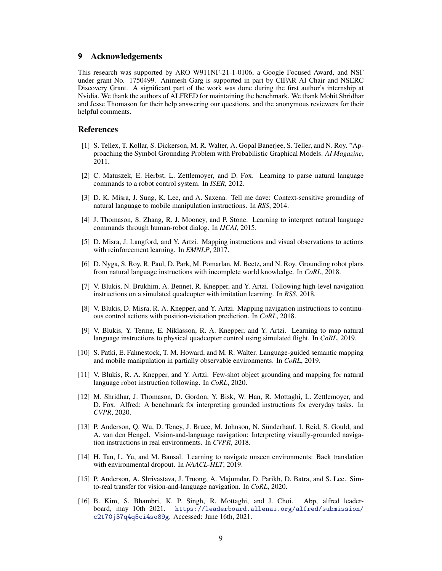## <span id="page-8-0"></span>9 Acknowledgements

This research was supported by ARO W911NF-21-1-0106, a Google Focused Award, and NSF under grant No. 1750499. Animesh Garg is supported in part by CIFAR AI Chair and NSERC Discovery Grant. A significant part of the work was done during the first author's internship at Nvidia. We thank the authors of ALFRED for maintaining the benchmark. We thank Mohit Shridhar and Jesse Thomason for their help answering our questions, and the anonymous reviewers for their helpful comments.

#### References

- [1] S. Tellex, T. Kollar, S. Dickerson, M. R. Walter, A. Gopal Banerjee, S. Teller, and N. Roy. "Approaching the Symbol Grounding Problem with Probabilistic Graphical Models. *AI Magazine*, 2011.
- [2] C. Matuszek, E. Herbst, L. Zettlemoyer, and D. Fox. Learning to parse natural language commands to a robot control system. In *ISER*, 2012.
- [3] D. K. Misra, J. Sung, K. Lee, and A. Saxena. Tell me dave: Context-sensitive grounding of natural language to mobile manipulation instructions. In *RSS*, 2014.
- [4] J. Thomason, S. Zhang, R. J. Mooney, and P. Stone. Learning to interpret natural language commands through human-robot dialog. In *IJCAI*, 2015.
- [5] D. Misra, J. Langford, and Y. Artzi. Mapping instructions and visual observations to actions with reinforcement learning. In *EMNLP*, 2017.
- [6] D. Nyga, S. Roy, R. Paul, D. Park, M. Pomarlan, M. Beetz, and N. Roy. Grounding robot plans from natural language instructions with incomplete world knowledge. In *CoRL*, 2018.
- [7] V. Blukis, N. Brukhim, A. Bennet, R. Knepper, and Y. Artzi. Following high-level navigation instructions on a simulated quadcopter with imitation learning. In *RSS*, 2018.
- [8] V. Blukis, D. Misra, R. A. Knepper, and Y. Artzi. Mapping navigation instructions to continuous control actions with position-visitation prediction. In *CoRL*, 2018.
- [9] V. Blukis, Y. Terme, E. Niklasson, R. A. Knepper, and Y. Artzi. Learning to map natural language instructions to physical quadcopter control using simulated flight. In *CoRL*, 2019.
- [10] S. Patki, E. Fahnestock, T. M. Howard, and M. R. Walter. Language-guided semantic mapping and mobile manipulation in partially observable environments. In *CoRL*, 2019.
- [11] V. Blukis, R. A. Knepper, and Y. Artzi. Few-shot object grounding and mapping for natural language robot instruction following. In *CoRL*, 2020.
- [12] M. Shridhar, J. Thomason, D. Gordon, Y. Bisk, W. Han, R. Mottaghi, L. Zettlemoyer, and D. Fox. Alfred: A benchmark for interpreting grounded instructions for everyday tasks. In *CVPR*, 2020.
- [13] P. Anderson, Q. Wu, D. Teney, J. Bruce, M. Johnson, N. Sünderhauf, I. Reid, S. Gould, and A. van den Hengel. Vision-and-language navigation: Interpreting visually-grounded navigation instructions in real environments. In *CVPR*, 2018.
- [14] H. Tan, L. Yu, and M. Bansal. Learning to navigate unseen environments: Back translation with environmental dropout. In *NAACL-HLT*, 2019.
- [15] P. Anderson, A. Shrivastava, J. Truong, A. Majumdar, D. Parikh, D. Batra, and S. Lee. Simto-real transfer for vision-and-language navigation. In *CoRL*, 2020.
- [16] B. Kim, S. Bhambri, K. P. Singh, R. Mottaghi, and J. Choi. Abp, alfred leaderboard, may 10th 2021. [https://leaderboard.allenai.org/alfred/submission/](https://leaderboard.allenai.org/alfred/submission/c2t70j37q4q5ci4so89g) [c2t70j37q4q5ci4so89g](https://leaderboard.allenai.org/alfred/submission/c2t70j37q4q5ci4so89g). Accessed: June 16th, 2021.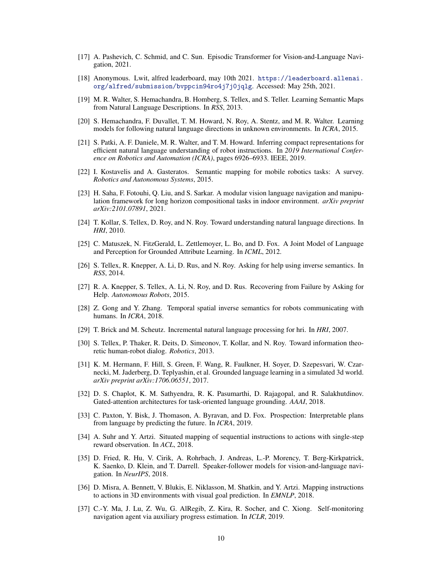- <span id="page-9-0"></span>[17] A. Pashevich, C. Schmid, and C. Sun. Episodic Transformer for Vision-and-Language Navigation, 2021.
- [18] Anonymous. Lwit, alfred leaderboard, may 10th 2021. [https://leaderboard.allenai.](https://leaderboard.allenai.org/alfred/submission/bvppcin94ro4j7j0jqlg) [org/alfred/submission/bvppcin94ro4j7j0jqlg](https://leaderboard.allenai.org/alfred/submission/bvppcin94ro4j7j0jqlg). Accessed: May 25th, 2021.
- [19] M. R. Walter, S. Hemachandra, B. Homberg, S. Tellex, and S. Teller. Learning Semantic Maps from Natural Language Descriptions. In *RSS*, 2013.
- [20] S. Hemachandra, F. Duvallet, T. M. Howard, N. Roy, A. Stentz, and M. R. Walter. Learning models for following natural language directions in unknown environments. In *ICRA*, 2015.
- [21] S. Patki, A. F. Daniele, M. R. Walter, and T. M. Howard. Inferring compact representations for efficient natural language understanding of robot instructions. In *2019 International Conference on Robotics and Automation (ICRA)*, pages 6926–6933. IEEE, 2019.
- [22] I. Kostavelis and A. Gasteratos. Semantic mapping for mobile robotics tasks: A survey. *Robotics and Autonomous Systems*, 2015.
- [23] H. Saha, F. Fotouhi, Q. Liu, and S. Sarkar. A modular vision language navigation and manipulation framework for long horizon compositional tasks in indoor environment. *arXiv preprint arXiv:2101.07891*, 2021.
- [24] T. Kollar, S. Tellex, D. Roy, and N. Roy. Toward understanding natural language directions. In *HRI*, 2010.
- [25] C. Matuszek, N. FitzGerald, L. Zettlemoyer, L. Bo, and D. Fox. A Joint Model of Language and Perception for Grounded Attribute Learning. In *ICML*, 2012.
- [26] S. Tellex, R. Knepper, A. Li, D. Rus, and N. Roy. Asking for help using inverse semantics. In *RSS*, 2014.
- [27] R. A. Knepper, S. Tellex, A. Li, N. Roy, and D. Rus. Recovering from Failure by Asking for Help. *Autonomous Robots*, 2015.
- [28] Z. Gong and Y. Zhang. Temporal spatial inverse semantics for robots communicating with humans. In *ICRA*, 2018.
- [29] T. Brick and M. Scheutz. Incremental natural language processing for hri. In *HRI*, 2007.
- [30] S. Tellex, P. Thaker, R. Deits, D. Simeonov, T. Kollar, and N. Roy. Toward information theoretic human-robot dialog. *Robotics*, 2013.
- [31] K. M. Hermann, F. Hill, S. Green, F. Wang, R. Faulkner, H. Soyer, D. Szepesvari, W. Czarnecki, M. Jaderberg, D. Teplyashin, et al. Grounded language learning in a simulated 3d world. *arXiv preprint arXiv:1706.06551*, 2017.
- [32] D. S. Chaplot, K. M. Sathyendra, R. K. Pasumarthi, D. Rajagopal, and R. Salakhutdinov. Gated-attention architectures for task-oriented language grounding. *AAAI*, 2018.
- [33] C. Paxton, Y. Bisk, J. Thomason, A. Byravan, and D. Fox. Prospection: Interpretable plans from language by predicting the future. In *ICRA*, 2019.
- [34] A. Suhr and Y. Artzi. Situated mapping of sequential instructions to actions with single-step reward observation. In *ACL*, 2018.
- [35] D. Fried, R. Hu, V. Cirik, A. Rohrbach, J. Andreas, L.-P. Morency, T. Berg-Kirkpatrick, K. Saenko, D. Klein, and T. Darrell. Speaker-follower models for vision-and-language navigation. In *NeurIPS*, 2018.
- [36] D. Misra, A. Bennett, V. Blukis, E. Niklasson, M. Shatkin, and Y. Artzi. Mapping instructions to actions in 3D environments with visual goal prediction. In *EMNLP*, 2018.
- [37] C.-Y. Ma, J. Lu, Z. Wu, G. AlRegib, Z. Kira, R. Socher, and C. Xiong. Self-monitoring navigation agent via auxiliary progress estimation. In *ICLR*, 2019.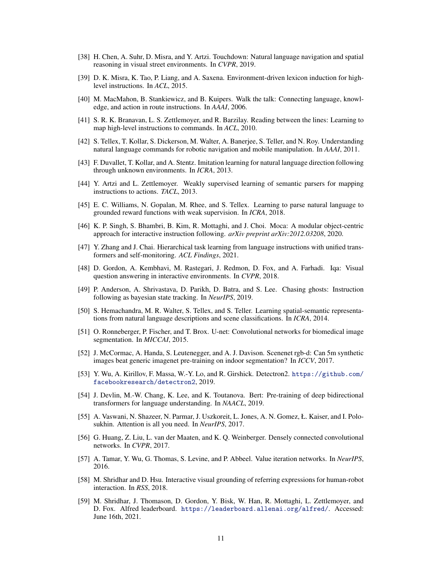- <span id="page-10-0"></span>[38] H. Chen, A. Suhr, D. Misra, and Y. Artzi. Touchdown: Natural language navigation and spatial reasoning in visual street environments. In *CVPR*, 2019.
- [39] D. K. Misra, K. Tao, P. Liang, and A. Saxena. Environment-driven lexicon induction for highlevel instructions. In *ACL*, 2015.
- [40] M. MacMahon, B. Stankiewicz, and B. Kuipers. Walk the talk: Connecting language, knowledge, and action in route instructions. In *AAAI*, 2006.
- [41] S. R. K. Branavan, L. S. Zettlemoyer, and R. Barzilay. Reading between the lines: Learning to map high-level instructions to commands. In *ACL*, 2010.
- [42] S. Tellex, T. Kollar, S. Dickerson, M. Walter, A. Banerjee, S. Teller, and N. Roy. Understanding natural language commands for robotic navigation and mobile manipulation. In *AAAI*, 2011.
- [43] F. Duvallet, T. Kollar, and A. Stentz. Imitation learning for natural language direction following through unknown environments. In *ICRA*, 2013.
- [44] Y. Artzi and L. Zettlemoyer. Weakly supervised learning of semantic parsers for mapping instructions to actions. *TACL*, 2013.
- [45] E. C. Williams, N. Gopalan, M. Rhee, and S. Tellex. Learning to parse natural language to grounded reward functions with weak supervision. In *ICRA*, 2018.
- [46] K. P. Singh, S. Bhambri, B. Kim, R. Mottaghi, and J. Choi. Moca: A modular object-centric approach for interactive instruction following. *arXiv preprint arXiv:2012.03208*, 2020.
- [47] Y. Zhang and J. Chai. Hierarchical task learning from language instructions with unified transformers and self-monitoring. *ACL Findings*, 2021.
- [48] D. Gordon, A. Kembhavi, M. Rastegari, J. Redmon, D. Fox, and A. Farhadi. Iqa: Visual question answering in interactive environments. In *CVPR*, 2018.
- [49] P. Anderson, A. Shrivastava, D. Parikh, D. Batra, and S. Lee. Chasing ghosts: Instruction following as bayesian state tracking. In *NeurIPS*, 2019.
- [50] S. Hemachandra, M. R. Walter, S. Tellex, and S. Teller. Learning spatial-semantic representations from natural language descriptions and scene classifications. In *ICRA*, 2014.
- [51] O. Ronneberger, P. Fischer, and T. Brox. U-net: Convolutional networks for biomedical image segmentation. In *MICCAI*, 2015.
- [52] J. McCormac, A. Handa, S. Leutenegger, and A. J. Davison. Scenenet rgb-d: Can 5m synthetic images beat generic imagenet pre-training on indoor segmentation? In *ICCV*, 2017.
- [53] Y. Wu, A. Kirillov, F. Massa, W.-Y. Lo, and R. Girshick. Detectron2. [https://github.com/](https://github.com/facebookresearch/detectron2) [facebookresearch/detectron2](https://github.com/facebookresearch/detectron2), 2019.
- [54] J. Devlin, M.-W. Chang, K. Lee, and K. Toutanova. Bert: Pre-training of deep bidirectional transformers for language understanding. In *NAACL*, 2019.
- [55] A. Vaswani, N. Shazeer, N. Parmar, J. Uszkoreit, L. Jones, A. N. Gomez, Ł. Kaiser, and I. Polosukhin. Attention is all you need. In *NeurIPS*, 2017.
- [56] G. Huang, Z. Liu, L. van der Maaten, and K. Q. Weinberger. Densely connected convolutional networks. In *CVPR*, 2017.
- [57] A. Tamar, Y. Wu, G. Thomas, S. Levine, and P. Abbeel. Value iteration networks. In *NeurIPS*, 2016.
- [58] M. Shridhar and D. Hsu. Interactive visual grounding of referring expressions for human-robot interaction. In *RSS*, 2018.
- [59] M. Shridhar, J. Thomason, D. Gordon, Y. Bisk, W. Han, R. Mottaghi, L. Zettlemoyer, and D. Fox. Alfred leaderboard. <https://leaderboard.allenai.org/alfred/>. Accessed: June 16th, 2021.